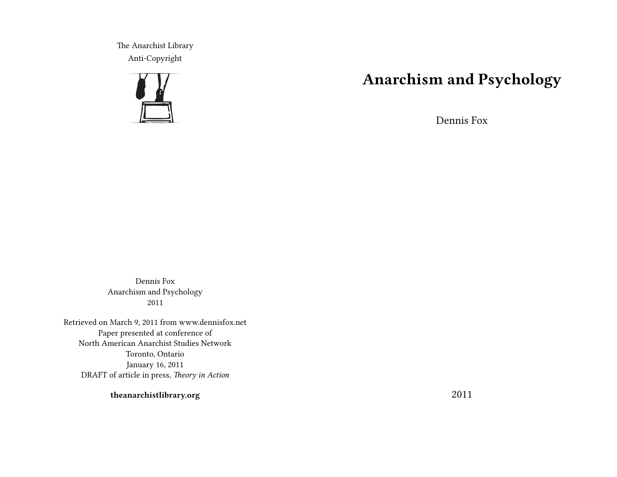The Anarchist Library Anti-Copyright



## **Anarchism and Psychology**

Dennis Fox

Dennis Fox Anarchism and Psychology 2011

Retrieved on March 9, 2011 from www.dennisfox.net Paper presented at conference of North American Anarchist Studies Network Toronto, Ontario January 16, 2011 DRAFT of article in press, *Theory in Action*

**theanarchistlibrary.org**

2011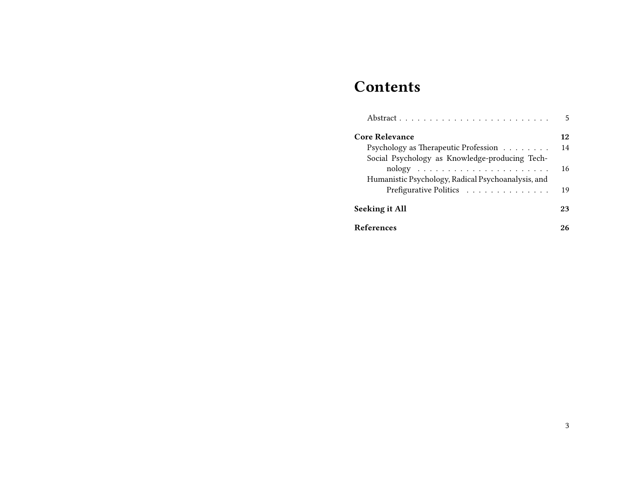# **Contents**

| Abstract $\ldots$ , $\ldots$ , $\ldots$ , $\ldots$ , $\ldots$ , $\ldots$ , $\ldots$ , $\ldots$             | 5  |
|------------------------------------------------------------------------------------------------------------|----|
| <b>Core Relevance</b>                                                                                      | 12 |
| Psychology as Therapeutic Profession                                                                       | 14 |
| Social Psychology as Knowledge-producing Tech-                                                             |    |
| $\text{nology} \quad \ldots \quad \ldots \quad \ldots \quad \ldots \quad \ldots \quad \ldots \quad \ldots$ | 16 |
| Humanistic Psychology, Radical Psychoanalysis, and                                                         |    |
| Prefigurative Politics                                                                                     | 19 |
| Seeking it All                                                                                             | 23 |
| References                                                                                                 | 26 |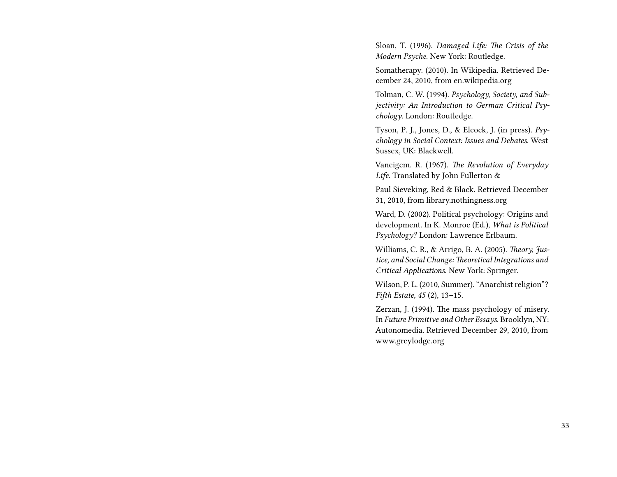Sloan, T. (1996). *Damaged Life: The Crisis of the Modern Psyche*. New York: Routledge.

Somatherapy. (2010). In Wikipedia. Retrieved December 24, 2010, from en.wikipedia.org

Tolman, C. W. (1994). *Psychology, Society, and Subjectivity: An Introduction to German Critical Psychology*. London: Routledge.

Tyson, P. J., Jones, D., & Elcock, J. (in press). *Psychology in Social Context: Issues and Debates*. West Sussex, UK: Blackwell.

Vaneigem. R. (1967). *The Revolution of Everyday Life*. Translated by John Fullerton &

Paul Sieveking, Red & Black. Retrieved December 31, 2010, from library.nothingness.org

Ward, D. (2002). Political psychology: Origins and development. In K. Monroe (Ed.), *What is Political Psychology?* London: Lawrence Erlbaum.

Williams, C. R., & Arrigo, B. A. (2005). *Theory, Justice, and Social Change: Theoretical Integrations and Critical Applications*. New York: Springer.

Wilson, P. L. (2010, Summer). "Anarchist religion"? *Fifth Estate, 45* (2), 13–15.

Zerzan, J. (1994). The mass psychology of misery. In *Future Primitive and Other Essays*. Brooklyn, NY: Autonomedia. Retrieved December 29, 2010, from www.greylodge.org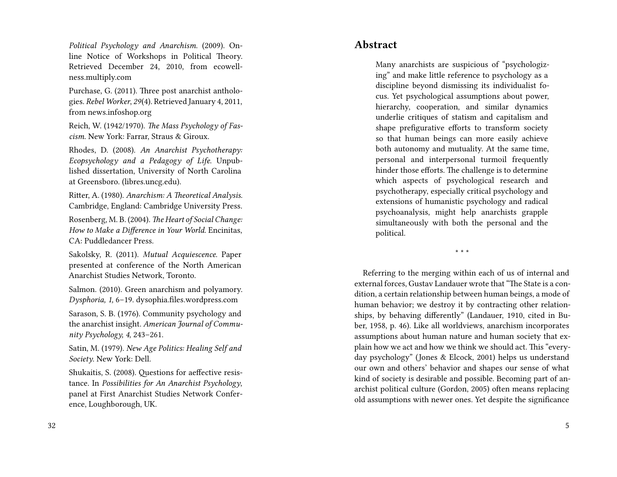*Political Psychology and Anarchism*. (2009). Online Notice of Workshops in Political Theory. Retrieved December 24, 2010, from ecowellness.multiply.com

Purchase, G. (2011). Three post anarchist anthologies. *Rebel Worker*, *29*(4). Retrieved January 4, 2011, from news.infoshop.org

Reich, W. (1942/1970). *The Mass Psychology of Fascism*. New York: Farrar, Straus & Giroux.

Rhodes, D. (2008). *An Anarchist Psychotherapy: Ecopsychology and a Pedagogy of Life*. Unpublished dissertation, University of North Carolina at Greensboro. (libres.uncg.edu).

Ritter, A. (1980). *Anarchism: A Theoretical Analysis*. Cambridge, England: Cambridge University Press.

Rosenberg, M. B. (2004). *The Heart of Social Change: How to Make a Difference in Your World.* Encinitas, CA: Puddledancer Press.

Sakolsky, R. (2011). *Mutual Acquiescence*. Paper presented at conference of the North American Anarchist Studies Network, Toronto.

Salmon. (2010). Green anarchism and polyamory. *Dysphoria, 1,* 6–19. dysophia.files.wordpress.com

Sarason, S. B. (1976). Community psychology and the anarchist insight. *American Journal of Community Psychology, 4*, 243–261.

Satin, M. (1979). *New Age Politics: Healing Self and Society*. New York: Dell.

Shukaitis, S. (2008). Questions for aeffective resistance. In *Possibilities for An Anarchist Psychology*, panel at First Anarchist Studies Network Conference, Loughborough, UK.

#### **Abstract**

Many anarchists are suspicious of "psychologizing" and make little reference to psychology as a discipline beyond dismissing its individualist focus. Yet psychological assumptions about power, hierarchy, cooperation, and similar dynamics underlie critiques of statism and capitalism and shape prefigurative efforts to transform society so that human beings can more easily achieve both autonomy and mutuality. At the same time, personal and interpersonal turmoil frequently hinder those efforts. The challenge is to determine which aspects of psychological research and psychotherapy, especially critical psychology and extensions of humanistic psychology and radical psychoanalysis, might help anarchists grapple simultaneously with both the personal and the political.

\* \* \*

Referring to the merging within each of us of internal and external forces, Gustav Landauer wrote that "The State is a condition, a certain relationship between human beings, a mode of human behavior; we destroy it by contracting other relationships, by behaving differently" (Landauer, 1910, cited in Buber, 1958, p. 46). Like all worldviews, anarchism incorporates assumptions about human nature and human society that explain how we act and how we think we should act. This "everyday psychology" (Jones & Elcock, 2001) helps us understand our own and others' behavior and shapes our sense of what kind of society is desirable and possible. Becoming part of anarchist political culture (Gordon, 2005) often means replacing old assumptions with newer ones. Yet despite the significance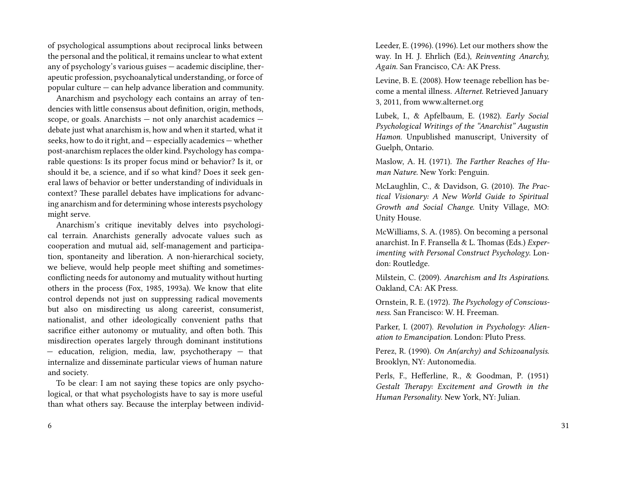of psychological assumptions about reciprocal links between the personal and the political, it remains unclear to what extent any of psychology's various guises — academic discipline, therapeutic profession, psychoanalytical understanding, or force of popular culture — can help advance liberation and community.

Anarchism and psychology each contains an array of tendencies with little consensus about definition, origin, methods, scope, or goals. Anarchists  $-$  not only anarchist academics  $$ debate just what anarchism is, how and when it started, what it seeks, how to do it right, and — especially academics — whether post-anarchism replaces the older kind. Psychology has comparable questions: Is its proper focus mind or behavior? Is it, or should it be, a science, and if so what kind? Does it seek general laws of behavior or better understanding of individuals in context? These parallel debates have implications for advancing anarchism and for determining whose interests psychology might serve.

Anarchism's critique inevitably delves into psychological terrain. Anarchists generally advocate values such as cooperation and mutual aid, self-management and participation, spontaneity and liberation. A non-hierarchical society, we believe, would help people meet shifting and sometimesconflicting needs for autonomy and mutuality without hurting others in the process (Fox, 1985, 1993a). We know that elite control depends not just on suppressing radical movements but also on misdirecting us along careerist, consumerist, nationalist, and other ideologically convenient paths that sacrifice either autonomy or mutuality, and often both. This misdirection operates largely through dominant institutions — education, religion, media, law, psychotherapy — that internalize and disseminate particular views of human nature and society.

To be clear: I am not saying these topics are only psychological, or that what psychologists have to say is more useful than what others say. Because the interplay between individLeeder, E. (1996). (1996). Let our mothers show the way. In H. J. Ehrlich (Ed.), *Reinventing Anarchy, Again*. San Francisco, CA: AK Press.

Levine, B. E. (2008). How teenage rebellion has become a mental illness. *Alternet*. Retrieved January 3, 2011, from www.alternet.org

Lubek, I., & Apfelbaum, E. (1982). *Early Social Psychological Writings of the "Anarchist" Augustin Hamon*. Unpublished manuscript, University of Guelph, Ontario.

Maslow, A. H. (1971). *The Farther Reaches of Human Nature*. New York: Penguin.

McLaughlin, C., & Davidson, G. (2010). *The Practical Visionary: A New World Guide to Spiritual Growth and Social Change.* Unity Village, MO: Unity House.

McWilliams, S. A. (1985). On becoming a personal anarchist. In F. Fransella & L. Thomas (Eds.) *Experimenting with Personal Construct Psychology*. London: Routledge.

Milstein, C. (2009). *Anarchism and Its Aspirations*. Oakland, CA: AK Press.

Ornstein, R. E. (1972). *The Psychology of Consciousness*. San Francisco: W. H. Freeman.

Parker, I. (2007). *Revolution in Psychology: Alienation to Emancipation*. London: Pluto Press.

Perez, R. (1990). *On An(archy) and Schizoanalysis*. Brooklyn, NY: Autonomedia.

Perls, F., Hefferline, R., & Goodman, P. (1951) *Gestalt Therapy: Excitement and Growth in the Human Personality*. New York, NY: Julian.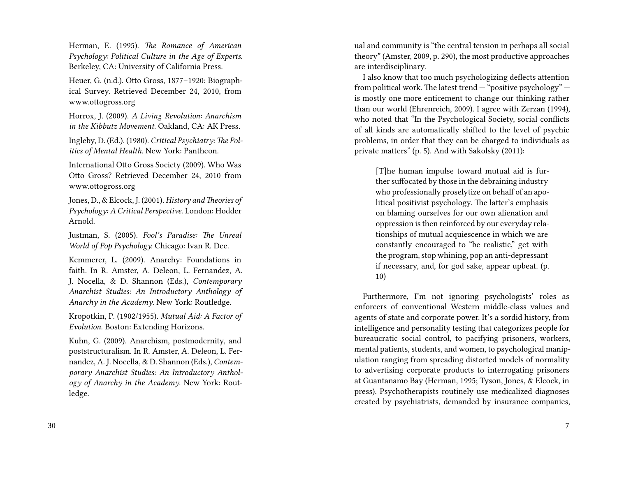Herman, E. (1995). *The Romance of American Psychology: Political Culture in the Age of Experts*. Berkeley, CA: University of California Press.

Heuer, G. (n.d.). Otto Gross, 1877–1920: Biographical Survey. Retrieved December 24, 2010, from www.ottogross.org

Horrox, J. (2009). *A Living Revolution: Anarchism in the Kibbutz Movement*. Oakland, CA: AK Press.

Ingleby, D. (Ed.). (1980). *Critical Psychiatry: The Politics of Mental Health.* New York: Pantheon.

International Otto Gross Society (2009). Who Was Otto Gross? Retrieved December 24, 2010 from www.ottogross.org

Jones, D., & Elcock, J. (2001). *History and Theories of Psychology: A Critical Perspective*. London: Hodder Arnold.

Justman, S. (2005). *Fool's Paradise: The Unreal World of Pop Psychology.* Chicago: Ivan R. Dee.

Kemmerer, L. (2009). Anarchy: Foundations in faith. In R. Amster, A. Deleon, L. Fernandez, A. J. Nocella, & D. Shannon (Eds.), *Contemporary Anarchist Studies: An Introductory Anthology of Anarchy in the Academy*. New York: Routledge.

Kropotkin, P. (1902/1955). *Mutual Aid: A Factor of Evolution*. Boston: Extending Horizons.

Kuhn, G. (2009). Anarchism, postmodernity, and poststructuralism. In R. Amster, A. Deleon, L. Fernandez, A. J. Nocella, & D. Shannon (Eds.), *Contemporary Anarchist Studies: An Introductory Anthology of Anarchy in the Academy*. New York: Routledge.

30

ual and community is "the central tension in perhaps all social theory" (Amster, 2009, p. 290), the most productive approaches are interdisciplinary.

I also know that too much psychologizing deflects attention from political work. The latest trend  $-$  "positive psychology"  $$ is mostly one more enticement to change our thinking rather than our world (Ehrenreich, 2009). I agree with Zerzan (1994), who noted that "In the Psychological Society, social conflicts of all kinds are automatically shifted to the level of psychic problems, in order that they can be charged to individuals as private matters" (p. 5). And with Sakolsky (2011):

[T]he human impulse toward mutual aid is further suffocated by those in the debraining industry who professionally proselytize on behalf of an apolitical positivist psychology. The latter's emphasis on blaming ourselves for our own alienation and oppression is then reinforced by our everyday relationships of mutual acquiescence in which we are constantly encouraged to "be realistic," get with the program, stop whining, pop an anti-depressant if necessary, and, for god sake, appear upbeat. (p. 10)

Furthermore, I'm not ignoring psychologists' roles as enforcers of conventional Western middle-class values and agents of state and corporate power. It's a sordid history, from intelligence and personality testing that categorizes people for bureaucratic social control, to pacifying prisoners, workers, mental patients, students, and women, to psychological manipulation ranging from spreading distorted models of normality to advertising corporate products to interrogating prisoners at Guantanamo Bay (Herman, 1995; Tyson, Jones, & Elcock, in press). Psychotherapists routinely use medicalized diagnoses created by psychiatrists, demanded by insurance companies,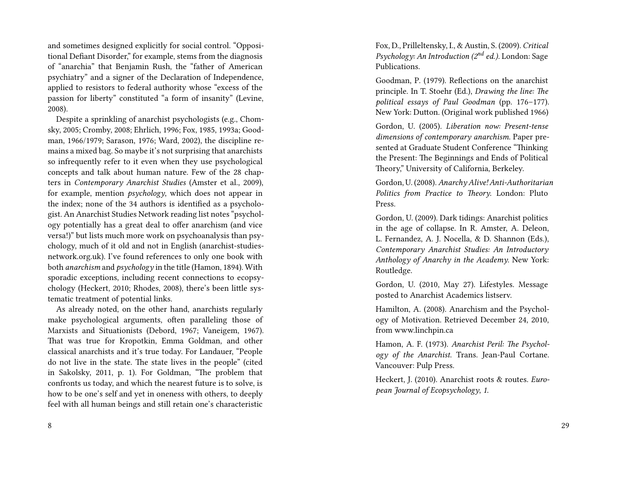and sometimes designed explicitly for social control. "Oppositional Defiant Disorder," for example, stems from the diagnosis of "anarchia" that Benjamin Rush, the "father of American psychiatry" and a signer of the Declaration of Independence, applied to resistors to federal authority whose "excess of the passion for liberty" constituted "a form of insanity" (Levine, 2008).

Despite a sprinkling of anarchist psychologists (e.g., Chomsky, 2005; Cromby, 2008; Ehrlich, 1996; Fox, 1985, 1993a; Goodman, 1966/1979; Sarason, 1976; Ward, 2002), the discipline remains a mixed bag. So maybe it's not surprising that anarchists so infrequently refer to it even when they use psychological concepts and talk about human nature. Few of the 28 chapters in *Contemporary Anarchist Studies* (Amster et al., 2009), for example, mention *psychology*, which does not appear in the index; none of the 34 authors is identified as a psychologist. An Anarchist Studies Network reading list notes "psychology potentially has a great deal to offer anarchism (and vice versa!)" but lists much more work on psychoanalysis than psychology, much of it old and not in English (anarchist-studiesnetwork.org.uk). I've found references to only one book with both *anarchism* and *psychology* in the title (Hamon, 1894). With sporadic exceptions, including recent connections to ecopsychology (Heckert, 2010; Rhodes, 2008), there's been little systematic treatment of potential links.

As already noted, on the other hand, anarchists regularly make psychological arguments, often paralleling those of Marxists and Situationists (Debord, 1967; Vaneigem, 1967). That was true for Kropotkin, Emma Goldman, and other classical anarchists and it's true today. For Landauer, "People do not live in the state. The state lives in the people" (cited in Sakolsky, 2011, p. 1). For Goldman, "The problem that confronts us today, and which the nearest future is to solve, is how to be one's self and yet in oneness with others, to deeply feel with all human beings and still retain one's characteristic

8

Fox, D., Prilleltensky, I., & Austin, S. (2009). *Critical Psychology: An Introduction (2nd ed.).* London: Sage Publications.

Goodman, P. (1979). Reflections on the anarchist principle. In T. Stoehr (Ed.), *Drawing the line: The political essays of Paul Goodman* (pp. 176–177). New York: Dutton. (Original work published 1966)

Gordon, U. (2005). *Liberation now: Present-tense dimensions of contemporary anarchism*. Paper presented at Graduate Student Conference "Thinking the Present: The Beginnings and Ends of Political Theory," University of California, Berkeley.

Gordon, U. (2008). *Anarchy Alive! Anti-Authoritarian Politics from Practice to Theory*. London: Pluto Press.

Gordon, U. (2009). Dark tidings: Anarchist politics in the age of collapse. In R. Amster, A. Deleon, L. Fernandez, A. J. Nocella, & D. Shannon (Eds.), *Contemporary Anarchist Studies: An Introductory Anthology of Anarchy in the Academy*. New York: Routledge.

Gordon, U. (2010, May 27). Lifestyles. Message posted to Anarchist Academics listserv.

Hamilton, A. (2008). Anarchism and the Psychology of Motivation. Retrieved December 24, 2010, from www.linchpin.ca

Hamon, A. F. (1973). *Anarchist Peril: The Psychology of the Anarchist*. Trans. Jean-Paul Cortane. Vancouver: Pulp Press.

Heckert, J. (2010). Anarchist roots & routes. *European Journal of Ecopsychology*, *1.*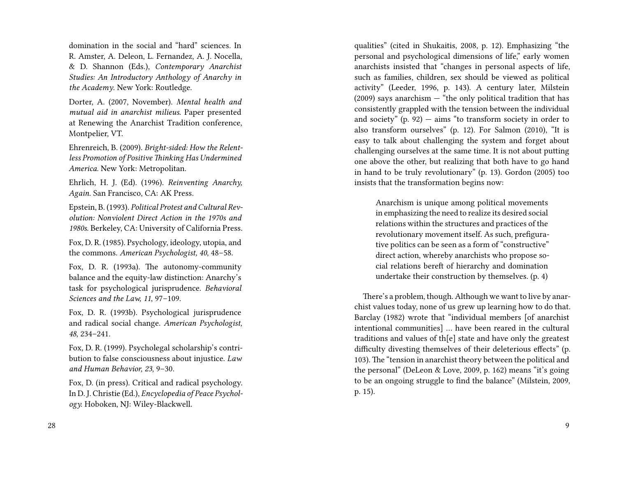domination in the social and "hard" sciences. In R. Amster, A. Deleon, L. Fernandez, A. J. Nocella, & D. Shannon (Eds.), *Contemporary Anarchist Studies: An Introductory Anthology of Anarchy in the Academy*. New York: Routledge.

Dorter, A. (2007, November). *Mental health and mutual aid in anarchist milieus*. Paper presented at Renewing the Anarchist Tradition conference, Montpelier, VT.

Ehrenreich, B. (2009). *Bright-sided: How the Relentless Promotion of Positive Thinking Has Undermined America.* New York: Metropolitan.

Ehrlich, H. J. (Ed). (1996). *Reinventing Anarchy, Again*. San Francisco, CA: AK Press.

Epstein, B. (1993). *Political Protest and Cultural Revolution: Nonviolent Direct Action in the 1970s and 1980s.* Berkeley, CA: University of California Press.

Fox, D. R. (1985). Psychology, ideology, utopia, and the commons. *American Psychologist, 40*, 48–58.

Fox, D. R. (1993a). The autonomy-community balance and the equity-law distinction: Anarchy's task for psychological jurisprudence. *Behavioral Sciences and the Law, 11*, 97–109.

Fox, D. R. (1993b). Psychological jurisprudence and radical social change. *American Psychologist, 48*, 234–241.

Fox, D. R. (1999). Psycholegal scholarship's contribution to false consciousness about injustice. *Law and Human Behavior, 23*, 9–30.

Fox, D. (in press). Critical and radical psychology. In D. J. Christie (Ed.), *Encyclopedia of Peace Psychology.* Hoboken, NJ: Wiley-Blackwell.

qualities" (cited in Shukaitis, 2008, p. 12). Emphasizing "the personal and psychological dimensions of life," early women anarchists insisted that "changes in personal aspects of life, such as families, children, sex should be viewed as political activity" (Leeder, 1996, p. 143). A century later, Milstein (2009) says anarchism  $-$  "the only political tradition that has consistently grappled with the tension between the individual and society"  $(p. 92)$  — aims "to transform society in order to also transform ourselves" (p. 12). For Salmon (2010), "It is easy to talk about challenging the system and forget about challenging ourselves at the same time. It is not about putting one above the other, but realizing that both have to go hand in hand to be truly revolutionary" (p. 13). Gordon (2005) too insists that the transformation begins now:

Anarchism is unique among political movements in emphasizing the need to realize its desired social relations within the structures and practices of the revolutionary movement itself. As such, prefigurative politics can be seen as a form of "constructive" direct action, whereby anarchists who propose social relations bereft of hierarchy and domination undertake their construction by themselves. (p. 4)

There's a problem, though. Although we want to live by anarchist values today, none of us grew up learning how to do that. Barclay (1982) wrote that "individual members [of anarchist intentional communities] … have been reared in the cultural traditions and values of th[e] state and have only the greatest difficulty divesting themselves of their deleterious effects" (p. 103). The "tension in anarchist theory between the political and the personal" (DeLeon & Love, 2009, p. 162) means "it's going to be an ongoing struggle to find the balance" (Milstein, 2009, p. 15).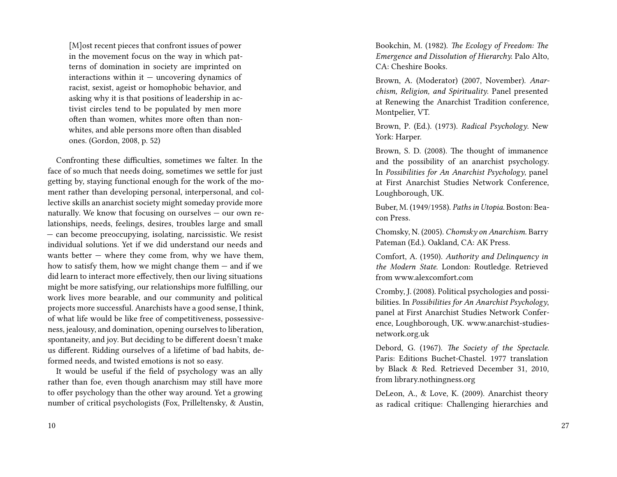[M]ost recent pieces that confront issues of power in the movement focus on the way in which patterns of domination in society are imprinted on interactions within it  $-$  uncovering dynamics of racist, sexist, ageist or homophobic behavior, and asking why it is that positions of leadership in activist circles tend to be populated by men more often than women, whites more often than nonwhites, and able persons more often than disabled ones. (Gordon, 2008, p. 52)

Confronting these difficulties, sometimes we falter. In the face of so much that needs doing, sometimes we settle for just getting by, staying functional enough for the work of the moment rather than developing personal, interpersonal, and collective skills an anarchist society might someday provide more naturally. We know that focusing on ourselves — our own relationships, needs, feelings, desires, troubles large and small — can become preoccupying, isolating, narcissistic. We resist individual solutions. Yet if we did understand our needs and wants better  $-$  where they come from, why we have them, how to satisfy them, how we might change them — and if we did learn to interact more effectively, then our living situations might be more satisfying, our relationships more fulfilling, our work lives more bearable, and our community and political projects more successful. Anarchists have a good sense, I think, of what life would be like free of competitiveness, possessiveness, jealousy, and domination, opening ourselves to liberation, spontaneity, and joy. But deciding to be different doesn't make us different. Ridding ourselves of a lifetime of bad habits, deformed needs, and twisted emotions is not so easy.

It would be useful if the field of psychology was an ally rather than foe, even though anarchism may still have more to offer psychology than the other way around. Yet a growing number of critical psychologists (Fox, Prilleltensky, & Austin, Bookchin, M. (1982). *The Ecology of Freedom: The Emergence and Dissolution of Hierarchy.* Palo Alto, CA: Cheshire Books.

Brown, A. (Moderator) (2007, November). *Anarchism, Religion, and Spirituality*. Panel presented at Renewing the Anarchist Tradition conference, Montpelier, VT.

Brown, P. (Ed.). (1973). *Radical Psychology*. New York: Harper.

Brown, S. D. (2008). The thought of immanence and the possibility of an anarchist psychology. In *Possibilities for An Anarchist Psychology*, panel at First Anarchist Studies Network Conference, Loughborough, UK.

Buber, M. (1949/1958). *Paths in Utopia*. Boston: Beacon Press.

Chomsky, N. (2005). *Chomsky on Anarchism*. Barry Pateman (Ed.). Oakland, CA: AK Press.

Comfort, A. (1950). *Authority and Delinquency in the Modern State*. London: Routledge. Retrieved from www.alexcomfort.com

Cromby, J. (2008). Political psychologies and possibilities. In *Possibilities for An Anarchist Psychology*, panel at First Anarchist Studies Network Conference, Loughborough, UK. www.anarchist-studiesnetwork.org.uk

Debord, G. (1967). *The Society of the Spectacle*. Paris: Editions Buchet-Chastel. 1977 translation by Black & Red. Retrieved December 31, 2010, from library.nothingness.org

DeLeon, A., & Love, K. (2009). Anarchist theory as radical critique: Challenging hierarchies and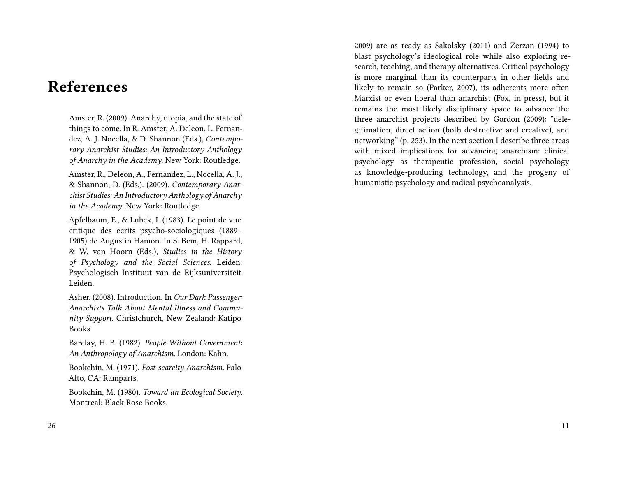# **References**

Amster, R. (2009). Anarchy, utopia, and the state of things to come. In R. Amster, A. Deleon, L. Fernandez, A. J. Nocella, & D. Shannon (Eds.), *Contemporary Anarchist Studies: An Introductory Anthology of Anarchy in the Academy*. New York: Routledge.

Amster, R., Deleon, A., Fernandez, L., Nocella, A. J., & Shannon, D. (Eds.). (2009). *Contemporary Anarchist Studies: An Introductory Anthology of Anarchy in the Academy*. New York: Routledge.

Apfelbaum, E., & Lubek, I. (1983). Le point de vue critique des ecrits psycho-sociologiques (1889– 1905) de Augustin Hamon. In S. Bem, H. Rappard, & W. van Hoorn (Eds.), *Studies in the History of Psychology and the Social Sciences*. Leiden: Psychologisch Instituut van de Rijksuniversiteit Leiden.

Asher. (2008). Introduction. In *Our Dark Passenger: Anarchists Talk About Mental Illness and Community Support*. Christchurch, New Zealand: Katipo Books.

Barclay, H. B. (1982). *People Without Government: An Anthropology of Anarchism*. London: Kahn.

Bookchin, M. (1971). *Post-scarcity Anarchism*. Palo Alto, CA: Ramparts.

Bookchin, M. (1980). *Toward an Ecological Society*. Montreal: Black Rose Books.

2009) are as ready as Sakolsky (2011) and Zerzan (1994) to blast psychology's ideological role while also exploring research, teaching, and therapy alternatives. Critical psychology is more marginal than its counterparts in other fields and likely to remain so (Parker, 2007), its adherents more often Marxist or even liberal than anarchist (Fox, in press), but it remains the most likely disciplinary space to advance the three anarchist projects described by Gordon (2009): "delegitimation, direct action (both destructive and creative), and networking" (p. 253). In the next section I describe three areas with mixed implications for advancing anarchism: clinical psychology as therapeutic profession, social psychology as knowledge-producing technology, and the progeny of humanistic psychology and radical psychoanalysis.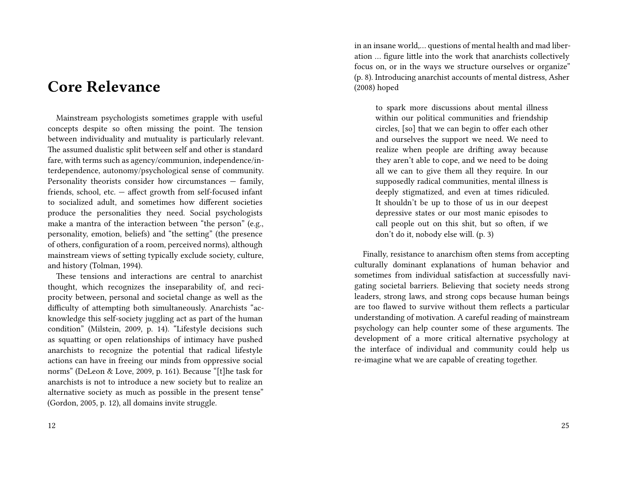## **Core Relevance**

Mainstream psychologists sometimes grapple with useful concepts despite so often missing the point. The tension between individuality and mutuality is particularly relevant. The assumed dualistic split between self and other is standard fare, with terms such as agency/communion, independence/interdependence, autonomy/psychological sense of community. Personality theorists consider how circumstances — family, friends, school, etc. — affect growth from self-focused infant to socialized adult, and sometimes how different societies produce the personalities they need. Social psychologists make a mantra of the interaction between "the person" (e.g., personality, emotion, beliefs) and "the setting" (the presence of others, configuration of a room, perceived norms), although mainstream views of setting typically exclude society, culture, and history (Tolman, 1994).

These tensions and interactions are central to anarchist thought, which recognizes the inseparability of, and reciprocity between, personal and societal change as well as the difficulty of attempting both simultaneously. Anarchists "acknowledge this self-society juggling act as part of the human condition" (Milstein, 2009, p. 14). "Lifestyle decisions such as squatting or open relationships of intimacy have pushed anarchists to recognize the potential that radical lifestyle actions can have in freeing our minds from oppressive social norms" (DeLeon & Love, 2009, p. 161). Because "[t]he task for anarchists is not to introduce a new society but to realize an alternative society as much as possible in the present tense" (Gordon, 2005, p. 12), all domains invite struggle.

12

in an insane world,… questions of mental health and mad liberation … figure little into the work that anarchists collectively focus on, or in the ways we structure ourselves or organize" (p. 8). Introducing anarchist accounts of mental distress, Asher (2008) hoped

to spark more discussions about mental illness within our political communities and friendship circles, [so] that we can begin to offer each other and ourselves the support we need. We need to realize when people are drifting away because they aren't able to cope, and we need to be doing all we can to give them all they require. In our supposedly radical communities, mental illness is deeply stigmatized, and even at times ridiculed. It shouldn't be up to those of us in our deepest depressive states or our most manic episodes to call people out on this shit, but so often, if we don't do it, nobody else will. (p. 3)

Finally, resistance to anarchism often stems from accepting culturally dominant explanations of human behavior and sometimes from individual satisfaction at successfully navigating societal barriers. Believing that society needs strong leaders, strong laws, and strong cops because human beings are too flawed to survive without them reflects a particular understanding of motivation. A careful reading of mainstream psychology can help counter some of these arguments. The development of a more critical alternative psychology at the interface of individual and community could help us re-imagine what we are capable of creating together.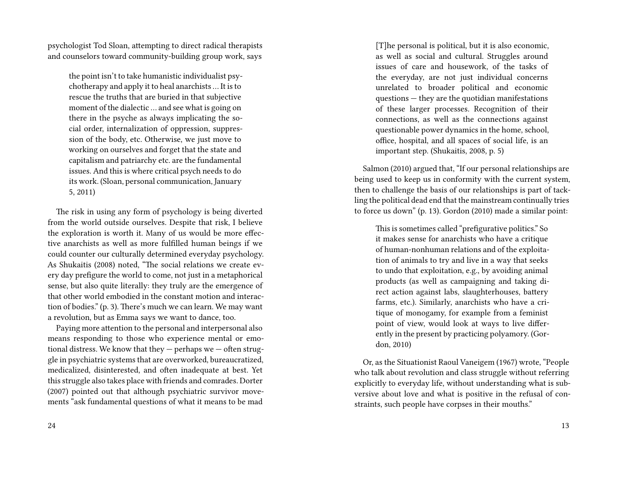psychologist Tod Sloan, attempting to direct radical therapists and counselors toward community-building group work, says

the point isn't to take humanistic individualist psychotherapy and apply it to heal anarchists … It is to rescue the truths that are buried in that subjective moment of the dialectic … and see what is going on there in the psyche as always implicating the social order, internalization of oppression, suppression of the body, etc. Otherwise, we just move to working on ourselves and forget that the state and capitalism and patriarchy etc. are the fundamental issues. And this is where critical psych needs to do its work. (Sloan, personal communication, January 5, 2011)

The risk in using any form of psychology is being diverted from the world outside ourselves. Despite that risk, I believe the exploration is worth it. Many of us would be more effective anarchists as well as more fulfilled human beings if we could counter our culturally determined everyday psychology. As Shukaitis (2008) noted, "The social relations we create every day prefigure the world to come, not just in a metaphorical sense, but also quite literally: they truly are the emergence of that other world embodied in the constant motion and interaction of bodies." (p. 3). There's much we can learn. We may want a revolution, but as Emma says we want to dance, too.

Paying more attention to the personal and interpersonal also means responding to those who experience mental or emotional distress. We know that they  $-$  perhaps we  $-$  often struggle in psychiatric systems that are overworked, bureaucratized, medicalized, disinterested, and often inadequate at best. Yet this struggle also takes place with friends and comrades. Dorter (2007) pointed out that although psychiatric survivor movements "ask fundamental questions of what it means to be mad

[T]he personal is political, but it is also economic, as well as social and cultural. Struggles around issues of care and housework, of the tasks of the everyday, are not just individual concerns unrelated to broader political and economic questions — they are the quotidian manifestations of these larger processes. Recognition of their connections, as well as the connections against questionable power dynamics in the home, school, office, hospital, and all spaces of social life, is an important step. (Shukaitis, 2008, p. 5)

Salmon (2010) argued that, "If our personal relationships are being used to keep us in conformity with the current system, then to challenge the basis of our relationships is part of tackling the political dead end that the mainstream continually tries to force us down" (p. 13). Gordon (2010) made a similar point:

This is sometimes called "prefigurative politics." So it makes sense for anarchists who have a critique of human-nonhuman relations and of the exploitation of animals to try and live in a way that seeks to undo that exploitation, e.g., by avoiding animal products (as well as campaigning and taking direct action against labs, slaughterhouses, battery farms, etc.). Similarly, anarchists who have a critique of monogamy, for example from a feminist point of view, would look at ways to live differently in the present by practicing polyamory. (Gordon, 2010)

Or, as the Situationist Raoul Vaneigem (1967) wrote, "People who talk about revolution and class struggle without referring explicitly to everyday life, without understanding what is subversive about love and what is positive in the refusal of constraints, such people have corpses in their mouths."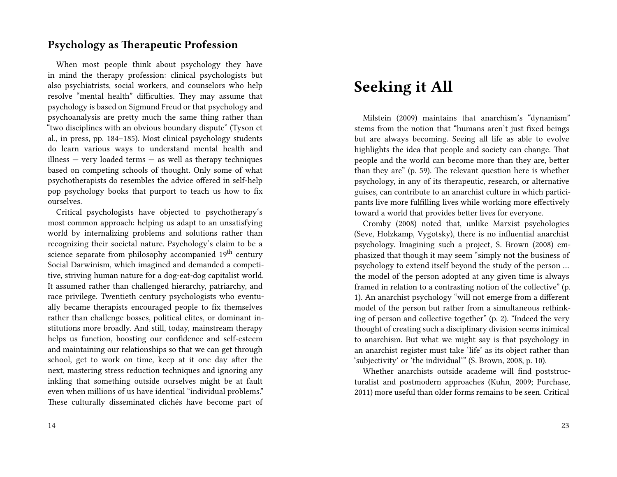#### **Psychology as Therapeutic Profession**

When most people think about psychology they have in mind the therapy profession: clinical psychologists but also psychiatrists, social workers, and counselors who help resolve "mental health" difficulties. They may assume that psychology is based on Sigmund Freud or that psychology and psychoanalysis are pretty much the same thing rather than "two disciplines with an obvious boundary dispute" (Tyson et al., in press, pp. 184–185). Most clinical psychology students do learn various ways to understand mental health and illness  $-$  very loaded terms  $-$  as well as therapy techniques based on competing schools of thought. Only some of what psychotherapists do resembles the advice offered in self-help pop psychology books that purport to teach us how to fix ourselves.

Critical psychologists have objected to psychotherapy's most common approach: helping us adapt to an unsatisfying world by internalizing problems and solutions rather than recognizing their societal nature. Psychology's claim to be a science separate from philosophy accompanied 19<sup>th</sup> century Social Darwinism, which imagined and demanded a competitive, striving human nature for a dog-eat-dog capitalist world. It assumed rather than challenged hierarchy, patriarchy, and race privilege. Twentieth century psychologists who eventually became therapists encouraged people to fix themselves rather than challenge bosses, political elites, or dominant institutions more broadly. And still, today, mainstream therapy helps us function, boosting our confidence and self-esteem and maintaining our relationships so that we can get through school, get to work on time, keep at it one day after the next, mastering stress reduction techniques and ignoring any inkling that something outside ourselves might be at fault even when millions of us have identical "individual problems." These culturally disseminated clichés have become part of

## **Seeking it All**

Milstein (2009) maintains that anarchism's "dynamism" stems from the notion that "humans aren't just fixed beings but are always becoming. Seeing all life as able to evolve highlights the idea that people and society can change. That people and the world can become more than they are, better than they are" (p. 59). The relevant question here is whether psychology, in any of its therapeutic, research, or alternative guises, can contribute to an anarchist culture in which participants live more fulfilling lives while working more effectively toward a world that provides better lives for everyone.

Cromby (2008) noted that, unlike Marxist psychologies (Seve, Holzkamp, Vygotsky), there is no influential anarchist psychology. Imagining such a project, S. Brown (2008) emphasized that though it may seem "simply not the business of psychology to extend itself beyond the study of the person … the model of the person adopted at any given time is always framed in relation to a contrasting notion of the collective" (p. 1). An anarchist psychology "will not emerge from a different model of the person but rather from a simultaneous rethinking of person and collective together" (p. 2). "Indeed the very thought of creating such a disciplinary division seems inimical to anarchism. But what we might say is that psychology in an anarchist register must take 'life' as its object rather than 'subjectivity' or 'the individual'" (S. Brown, 2008, p. 10).

Whether anarchists outside academe will find poststructuralist and postmodern approaches (Kuhn, 2009; Purchase, 2011) more useful than older forms remains to be seen. Critical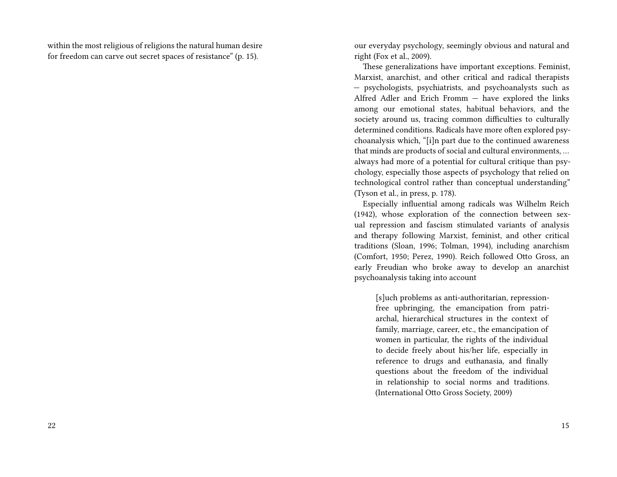within the most religious of religions the natural human desire for freedom can carve out secret spaces of resistance" (p. 15).

our everyday psychology, seemingly obvious and natural and right (Fox et al., 2009).

These generalizations have important exceptions. Feminist, Marxist, anarchist, and other critical and radical therapists — psychologists, psychiatrists, and psychoanalysts such as Alfred Adler and Erich Fromm — have explored the links among our emotional states, habitual behaviors, and the society around us, tracing common difficulties to culturally determined conditions. Radicals have more often explored psychoanalysis which, "[i]n part due to the continued awareness that minds are products of social and cultural environments, … always had more of a potential for cultural critique than psychology, especially those aspects of psychology that relied on technological control rather than conceptual understanding" (Tyson et al., in press, p. 178).

Especially influential among radicals was Wilhelm Reich (1942), whose exploration of the connection between sexual repression and fascism stimulated variants of analysis and therapy following Marxist, feminist, and other critical traditions (Sloan, 1996; Tolman, 1994), including anarchism (Comfort, 1950; Perez, 1990). Reich followed Otto Gross, an early Freudian who broke away to develop an anarchist psychoanalysis taking into account

[s]uch problems as anti-authoritarian, repressionfree upbringing, the emancipation from patriarchal, hierarchical structures in the context of family, marriage, career, etc., the emancipation of women in particular, the rights of the individual to decide freely about his/her life, especially in reference to drugs and euthanasia, and finally questions about the freedom of the individual in relationship to social norms and traditions. (International Otto Gross Society, 2009)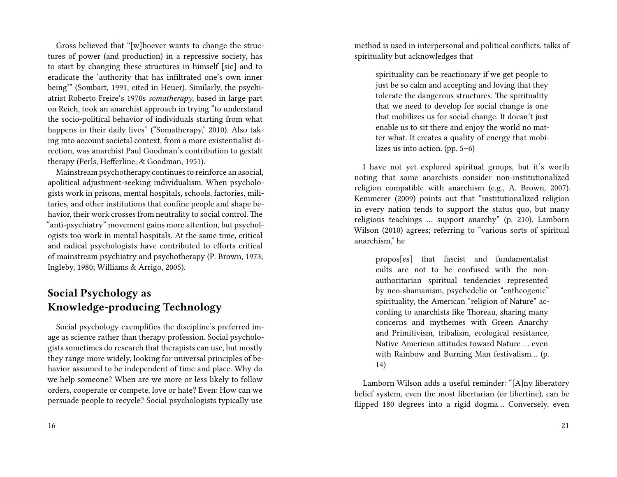Gross believed that "[w]hoever wants to change the structures of power (and production) in a repressive society, has to start by changing these structures in himself [sic] and to eradicate the 'authority that has infiltrated one's own inner being'" (Sombart, 1991, cited in Heuer). Similarly, the psychiatrist Roberto Freire's 1970s *somatherapy*, based in large part on Reich, took an anarchist approach in trying "to understand the socio-political behavior of individuals starting from what happens in their daily lives" ("Somatherapy," 2010). Also taking into account societal context, from a more existentialist direction, was anarchist Paul Goodman's contribution to gestalt therapy (Perls, Hefferline, & Goodman, 1951).

Mainstream psychotherapy continues to reinforce an asocial, apolitical adjustment-seeking individualism. When psychologists work in prisons, mental hospitals, schools, factories, militaries, and other institutions that confine people and shape behavior, their work crosses from neutrality to social control. The "anti-psychiatry" movement gains more attention, but psychologists too work in mental hospitals. At the same time, critical and radical psychologists have contributed to efforts critical of mainstream psychiatry and psychotherapy (P. Brown, 1973; Ingleby, 1980; Williams & Arrigo, 2005).

### **Social Psychology as Knowledge-producing Technology**

Social psychology exemplifies the discipline's preferred image as science rather than therapy profession. Social psychologists sometimes do research that therapists can use, but mostly they range more widely, looking for universal principles of behavior assumed to be independent of time and place. Why do we help someone? When are we more or less likely to follow orders, cooperate or compete, love or hate? Even: How can we persuade people to recycle? Social psychologists typically use

method is used in interpersonal and political conflicts, talks of spirituality but acknowledges that

> spirituality can be reactionary if we get people to just be so calm and accepting and loving that they tolerate the dangerous structures. The spirituality that we need to develop for social change is one that mobilizes us for social change. It doesn't just enable us to sit there and enjoy the world no matter what. It creates a quality of energy that mobilizes us into action. (pp. 5–6)

I have not yet explored spiritual groups, but it's worth noting that some anarchists consider non-institutionalized religion compatible with anarchism (e.g., A. Brown, 2007). Kemmerer (2009) points out that "institutionalized religion in every nation tends to support the status quo, but many religious teachings … support anarchy" (p. 210). Lamborn Wilson (2010) agrees; referring to "various sorts of spiritual anarchism," he

propos[es] that fascist and fundamentalist cults are not to be confused with the nonauthoritarian spiritual tendencies represented by neo-shamanism, psychedelic or "entheogenic" spirituality, the American "religion of Nature" according to anarchists like Thoreau, sharing many concerns and mythemes with Green Anarchy and Primitivism, tribalism, ecological resistance, Native American attitudes toward Nature … even with Rainbow and Burning Man festivalism… (p. 14)

Lamborn Wilson adds a useful reminder: "[A]ny liberatory belief system, even the most libertarian (or libertine), can be flipped 180 degrees into a rigid dogma… Conversely, even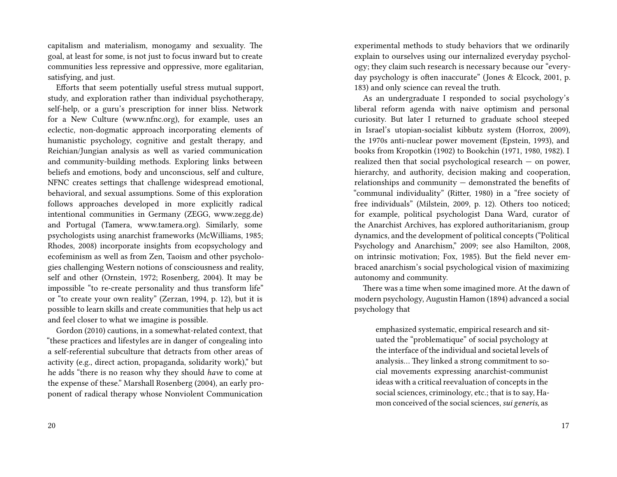capitalism and materialism, monogamy and sexuality. The goal, at least for some, is not just to focus inward but to create communities less repressive and oppressive, more egalitarian, satisfying, and just.

Efforts that seem potentially useful stress mutual support, study, and exploration rather than individual psychotherapy, self-help, or a guru's prescription for inner bliss. Network for a New Culture (www.nfnc.org), for example, uses an eclectic, non-dogmatic approach incorporating elements of humanistic psychology, cognitive and gestalt therapy, and Reichian/Jungian analysis as well as varied communication and community-building methods. Exploring links between beliefs and emotions, body and unconscious, self and culture, NFNC creates settings that challenge widespread emotional, behavioral, and sexual assumptions. Some of this exploration follows approaches developed in more explicitly radical intentional communities in Germany (ZEGG, www.zegg.de) and Portugal (Tamera, www.tamera.org). Similarly, some psychologists using anarchist frameworks (McWilliams, 1985; Rhodes, 2008) incorporate insights from ecopsychology and ecofeminism as well as from Zen, Taoism and other psychologies challenging Western notions of consciousness and reality, self and other (Ornstein, 1972; Rosenberg, 2004). It may be impossible "to re-create personality and thus transform life" or "to create your own reality" (Zerzan, 1994, p. 12), but it is possible to learn skills and create communities that help us act and feel closer to what we imagine is possible.

Gordon (2010) cautions, in a somewhat-related context, that "these practices and lifestyles are in danger of congealing into a self-referential subculture that detracts from other areas of activity (e.g., direct action, propaganda, solidarity work)," but he adds "there is no reason why they should *have* to come at the expense of these." Marshall Rosenberg (2004), an early proponent of radical therapy whose Nonviolent Communication

experimental methods to study behaviors that we ordinarily explain to ourselves using our internalized everyday psychology; they claim such research is necessary because our "everyday psychology is often inaccurate" (Jones & Elcock, 2001, p. 183) and only science can reveal the truth.

As an undergraduate I responded to social psychology's liberal reform agenda with naive optimism and personal curiosity. But later I returned to graduate school steeped in Israel's utopian-socialist kibbutz system (Horrox, 2009), the 1970s anti-nuclear power movement (Epstein, 1993), and books from Kropotkin (1902) to Bookchin (1971, 1980, 1982). I realized then that social psychological research — on power, hierarchy, and authority, decision making and cooperation, relationships and community — demonstrated the benefits of "communal individuality" (Ritter, 1980) in a "free society of free individuals" (Milstein, 2009, p. 12). Others too noticed; for example, political psychologist Dana Ward, curator of the Anarchist Archives, has explored authoritarianism, group dynamics, and the development of political concepts ("Political Psychology and Anarchism," 2009; see also Hamilton, 2008, on intrinsic motivation; Fox, 1985). But the field never embraced anarchism's social psychological vision of maximizing autonomy and community.

There was a time when some imagined more. At the dawn of modern psychology, Augustin Hamon (1894) advanced a social psychology that

emphasized systematic, empirical research and situated the "problematique" of social psychology at the interface of the individual and societal levels of analysis… They linked a strong commitment to social movements expressing anarchist-communist ideas with a critical reevaluation of concepts in the social sciences, criminology, etc.; that is to say, Hamon conceived of the social sciences,*sui generis*, as